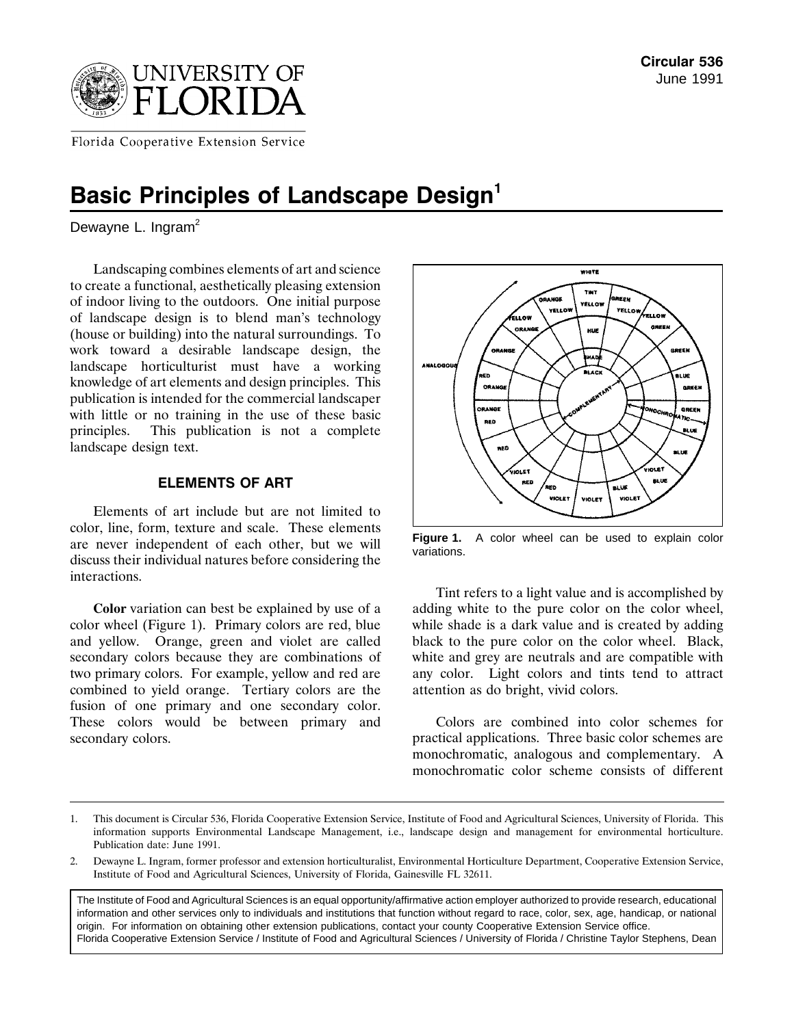

Florida Cooperative Extension Service

# **Basic Principles of Landscape Design<sup>1</sup>**

Dewayne L. Ingram $2$ 

Landscaping combines elements of art and science to create a functional, aesthetically pleasing extension of indoor living to the outdoors. One initial purpose of landscape design is to blend man's technology (house or building) into the natural surroundings. To work toward a desirable landscape design, the landscape horticulturist must have a working knowledge of art elements and design principles. This publication is intended for the commercial landscaper with little or no training in the use of these basic principles. This publication is not a complete landscape design text.

# **ELEMENTS OF ART**

Elements of art include but are not limited to color, line, form, texture and scale. These elements are never independent of each other, but we will discuss their individual natures before considering the interactions.

**Color** variation can best be explained by use of a color wheel (Figure 1). Primary colors are red, blue and yellow. Orange, green and violet are called secondary colors because they are combinations of two primary colors. For example, yellow and red are combined to yield orange. Tertiary colors are the fusion of one primary and one secondary color. These colors would be between primary and secondary colors.



**Figure 1.** A color wheel can be used to explain color variations.

Tint refers to a light value and is accomplished by adding white to the pure color on the color wheel, while shade is a dark value and is created by adding black to the pure color on the color wheel. Black, white and grey are neutrals and are compatible with any color. Light colors and tints tend to attract attention as do bright, vivid colors.

Colors are combined into color schemes for practical applications. Three basic color schemes are monochromatic, analogous and complementary. A monochromatic color scheme consists of different

The Institute of Food and Agricultural Sciences is an equal opportunity/affirmative action employer authorized to provide research, educational information and other services only to individuals and institutions that function without regard to race, color, sex, age, handicap, or national origin. For information on obtaining other extension publications, contact your county Cooperative Extension Service office. Florida Cooperative Extension Service / Institute of Food and Agricultural Sciences / University of Florida / Christine Taylor Stephens, Dean

<sup>1.</sup> This document is Circular 536, Florida Cooperative Extension Service, Institute of Food and Agricultural Sciences, University of Florida. This information supports Environmental Landscape Management, i.e., landscape design and management for environmental horticulture. Publication date: June 1991.

<sup>2.</sup> Dewayne L. Ingram, former professor and extension horticulturalist, Environmental Horticulture Department, Cooperative Extension Service, Institute of Food and Agricultural Sciences, University of Florida, Gainesville FL 32611.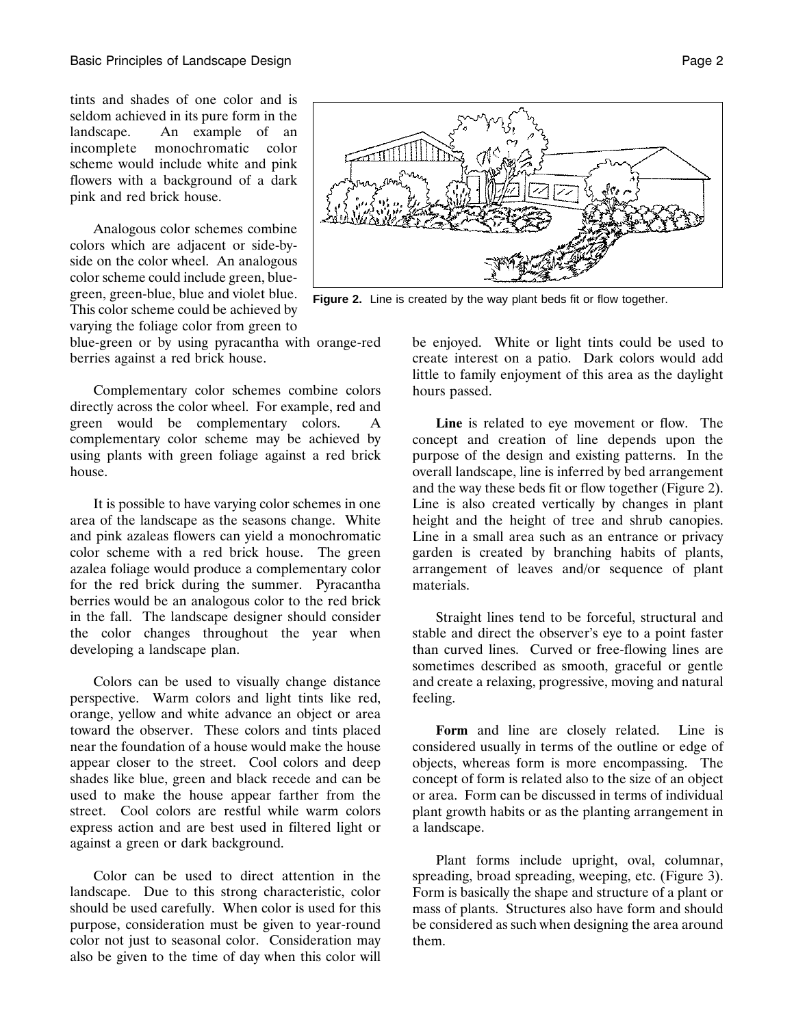tints and shades of one color and is seldom achieved in its pure form in the landscape. An example of an incomplete monochromatic color scheme would include white and pink flowers with a background of a dark pink and red brick house.

Analogous color schemes combine colors which are adjacent or side-byside on the color wheel. An analogous color scheme could include green, bluegreen, green-blue, blue and violet blue. This color scheme could be achieved by varying the foliage color from green to



**Figure 2.** Line is created by the way plant beds fit or flow together.

blue-green or by using pyracantha with orange-red berries against a red brick house.

Complementary color schemes combine colors directly across the color wheel. For example, red and green would be complementary colors. A complementary color scheme may be achieved by using plants with green foliage against a red brick house.

It is possible to have varying color schemes in one area of the landscape as the seasons change. White and pink azaleas flowers can yield a monochromatic color scheme with a red brick house. The green azalea foliage would produce a complementary color for the red brick during the summer. Pyracantha berries would be an analogous color to the red brick in the fall. The landscape designer should consider the color changes throughout the year when developing a landscape plan.

Colors can be used to visually change distance perspective. Warm colors and light tints like red, orange, yellow and white advance an object or area toward the observer. These colors and tints placed near the foundation of a house would make the house appear closer to the street. Cool colors and deep shades like blue, green and black recede and can be used to make the house appear farther from the street. Cool colors are restful while warm colors express action and are best used in filtered light or against a green or dark background.

Color can be used to direct attention in the landscape. Due to this strong characteristic, color should be used carefully. When color is used for this purpose, consideration must be given to year-round color not just to seasonal color. Consideration may also be given to the time of day when this color will be enjoyed. White or light tints could be used to create interest on a patio. Dark colors would add little to family enjoyment of this area as the daylight hours passed.

**Line** is related to eye movement or flow. The concept and creation of line depends upon the purpose of the design and existing patterns. In the overall landscape, line is inferred by bed arrangement and the way these beds fit or flow together (Figure 2). Line is also created vertically by changes in plant height and the height of tree and shrub canopies. Line in a small area such as an entrance or privacy garden is created by branching habits of plants, arrangement of leaves and/or sequence of plant materials.

Straight lines tend to be forceful, structural and stable and direct the observer's eye to a point faster than curved lines. Curved or free-flowing lines are sometimes described as smooth, graceful or gentle and create a relaxing, progressive, moving and natural feeling.

**Form** and line are closely related. Line is considered usually in terms of the outline or edge of objects, whereas form is more encompassing. The concept of form is related also to the size of an object or area. Form can be discussed in terms of individual plant growth habits or as the planting arrangement in a landscape.

Plant forms include upright, oval, columnar, spreading, broad spreading, weeping, etc. (Figure 3). Form is basically the shape and structure of a plant or mass of plants. Structures also have form and should be considered as such when designing the area around them.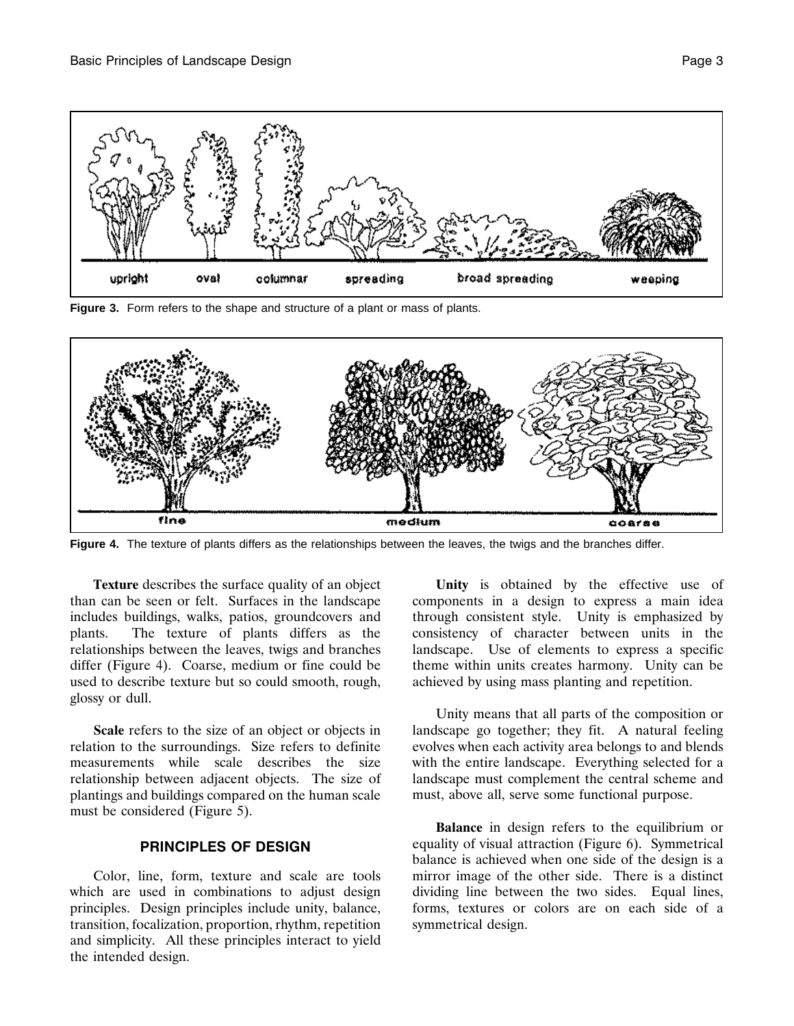

**Figure 3.** Form refers to the shape and structure of a plant or mass of plants.



**Figure 4.** The texture of plants differs as the relationships between the leaves, the twigs and the branches differ.

**Texture** describes the surface quality of an object than can be seen or felt. Surfaces in the landscape includes buildings, walks, patios, groundcovers and plants. The texture of plants differs as the relationships between the leaves, twigs and branches differ (Figure 4). Coarse, medium or fine could be used to describe texture but so could smooth, rough, glossy or dull.

**Scale** refers to the size of an object or objects in relation to the surroundings. Size refers to definite measurements while scale describes the size relationship between adjacent objects. The size of plantings and buildings compared on the human scale must be considered (Figure 5).

#### **PRINCIPLES OF DESIGN**

Color, line, form, texture and scale are tools which are used in combinations to adjust design principles. Design principles include unity, balance, transition, focalization, proportion, rhythm, repetition and simplicity. All these principles interact to yield the intended design.

Unity is obtained by the effective use of components in a design to express a main idea through consistent style. Unity is emphasized by consistency of character between units in the landscape. Use of elements to express a specific theme within units creates harmony. Unity can be achieved by using mass planting and repetition.

Unity means that all parts of the composition or landscape go together; they fit. A natural feeling evolves when each activity area belongs to and blends with the entire landscape. Everything selected for a landscape must complement the central scheme and must, above all, serve some functional purpose.

**Balance** in design refers to the equilibrium or equality of visual attraction (Figure 6). Symmetrical balance is achieved when one side of the design is a mirror image of the other side. There is a distinct dividing line between the two sides. Equal lines, forms, textures or colors are on each side of a symmetrical design.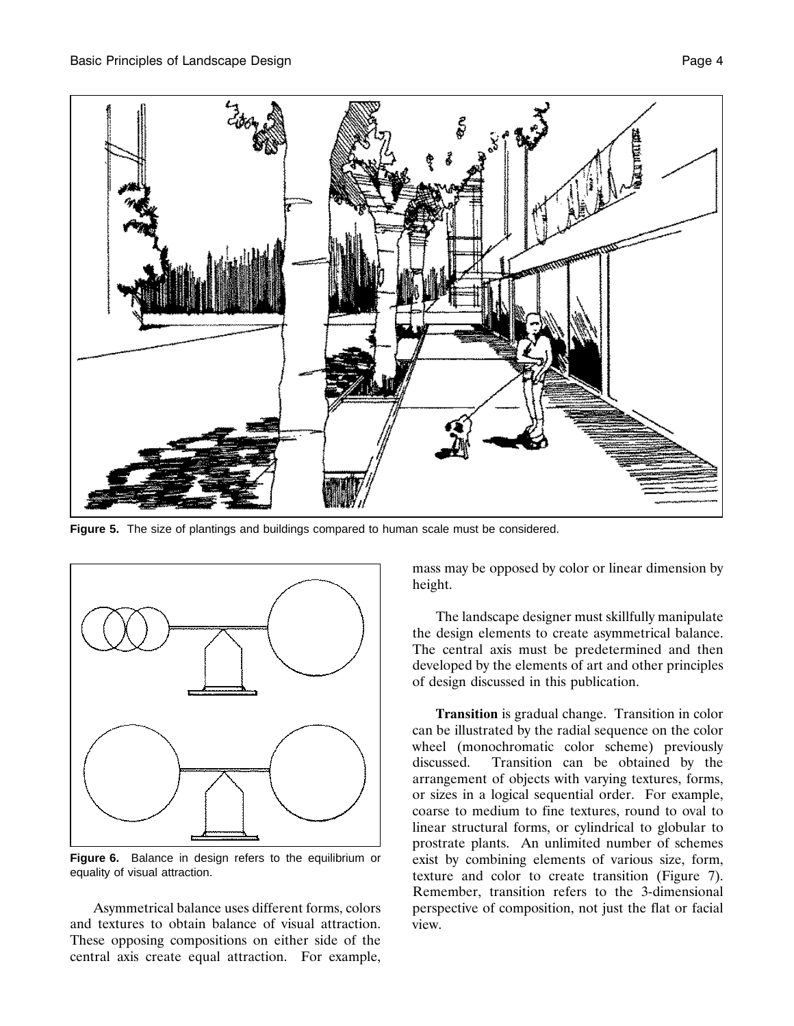

**Figure 5.** The size of plantings and buildings compared to human scale must be considered.



**Figure 6.** Balance in design refers to the equilibrium or equality of visual attraction.

Asymmetrical balance uses different forms, colors and textures to obtain balance of visual attraction. These opposing compositions on either side of the central axis create equal attraction. For example,

mass may be opposed by color or linear dimension by height.

The landscape designer must skillfully manipulate the design elements to create asymmetrical balance. The central axis must be predetermined and then developed by the elements of art and other principles of design discussed in this publication.

**Transition** is gradual change. Transition in color can be illustrated by the radial sequence on the color wheel (monochromatic color scheme) previously discussed. Transition can be obtained by the arrangement of objects with varying textures, forms, or sizes in a logical sequential order. For example, coarse to medium to fine textures, round to oval to linear structural forms, or cylindrical to globular to prostrate plants. An unlimited number of schemes exist by combining elements of various size, form, texture and color to create transition (Figure 7). Remember, transition refers to the 3-dimensional perspective of composition, not just the flat or facial view.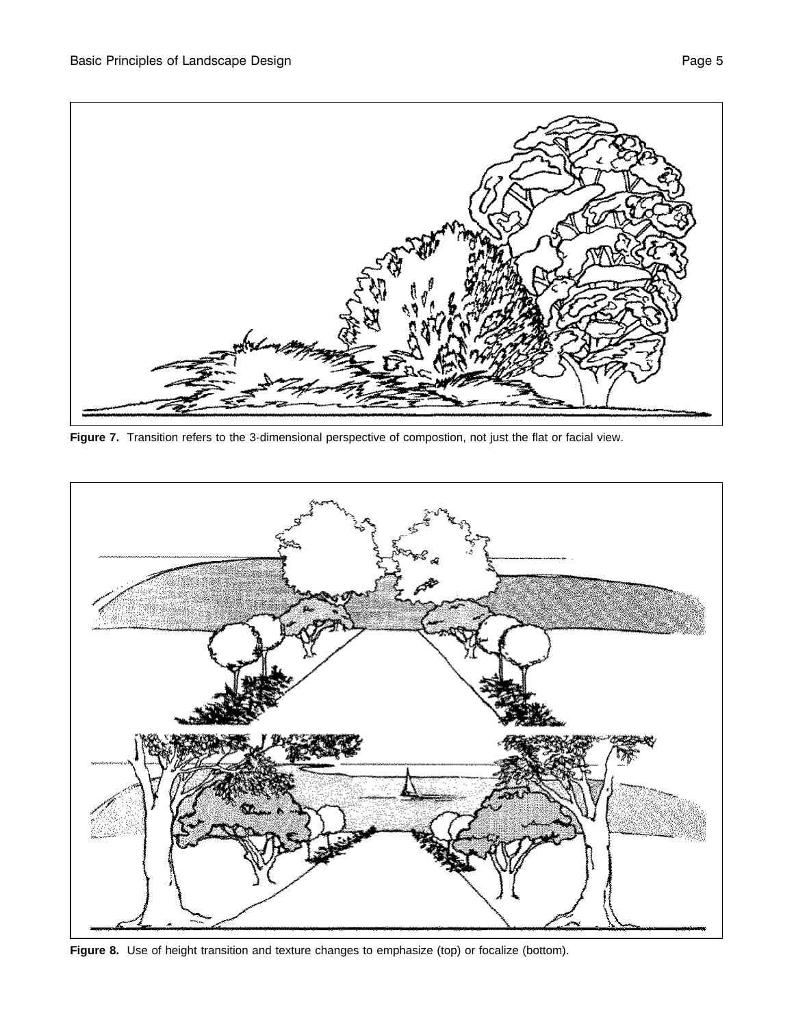

**Figure 7.** Transition refers to the 3-dimensional perspective of compostion, not just the flat or facial view.



Figure 8. Use of height transition and texture changes to emphasize (top) or focalize (bottom).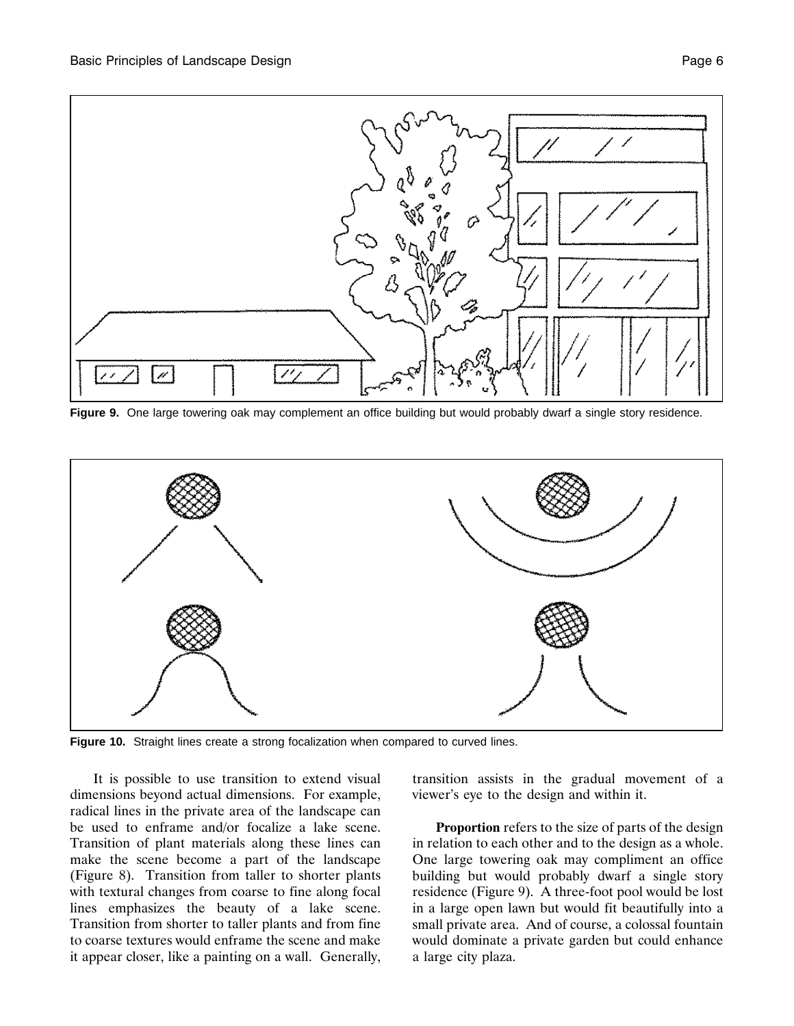

**Figure 9.** One large towering oak may complement an office building but would probably dwarf a single story residence.



Figure 10. Straight lines create a strong focalization when compared to curved lines.

It is possible to use transition to extend visual dimensions beyond actual dimensions. For example, radical lines in the private area of the landscape can be used to enframe and/or focalize a lake scene. Transition of plant materials along these lines can make the scene become a part of the landscape (Figure 8). Transition from taller to shorter plants with textural changes from coarse to fine along focal lines emphasizes the beauty of a lake scene. Transition from shorter to taller plants and from fine to coarse textures would enframe the scene and make it appear closer, like a painting on a wall. Generally,

transition assists in the gradual movement of a viewer's eye to the design and within it.

**Proportion** refers to the size of parts of the design in relation to each other and to the design as a whole. One large towering oak may compliment an office building but would probably dwarf a single story residence (Figure 9). A three-foot pool would be lost in a large open lawn but would fit beautifully into a small private area. And of course, a colossal fountain would dominate a private garden but could enhance a large city plaza.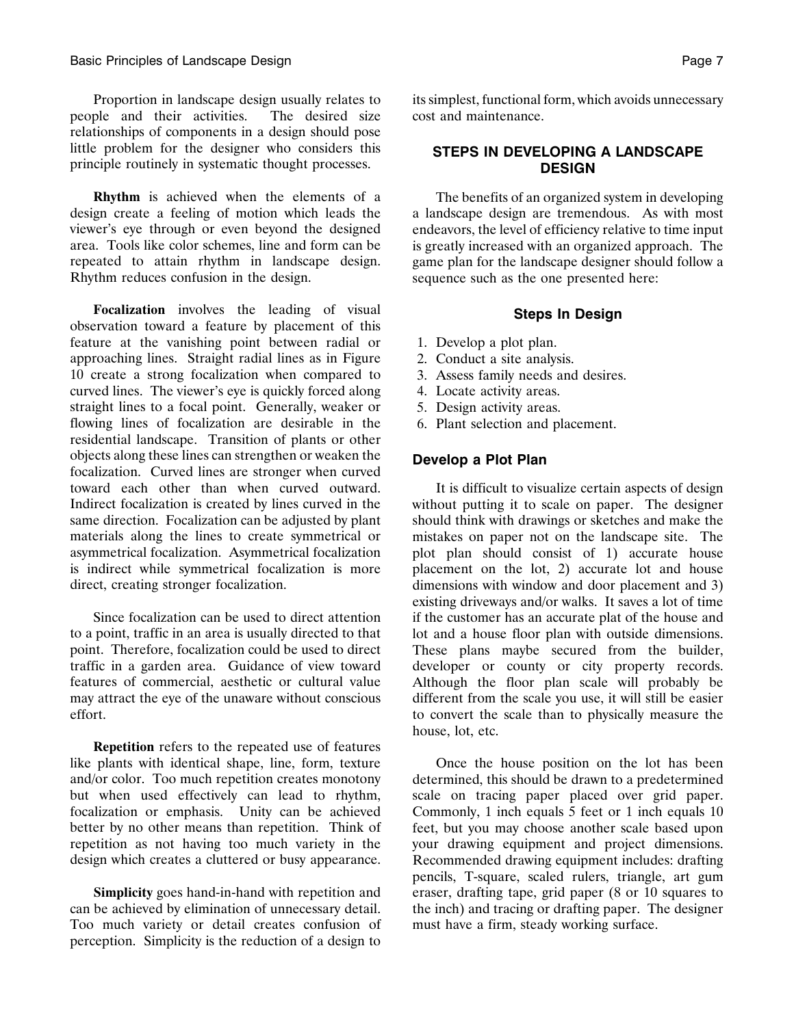#### Basic Principles of Landscape Design Page 7 (1996) and the state of the state of the Page 7 (1996) and the Page 7

Proportion in landscape design usually relates to people and their activities. The desired size relationships of components in a design should pose little problem for the designer who considers this principle routinely in systematic thought processes.

**Rhythm** is achieved when the elements of a design create a feeling of motion which leads the viewer's eye through or even beyond the designed area. Tools like color schemes, line and form can be repeated to attain rhythm in landscape design. Rhythm reduces confusion in the design.

**Focalization** involves the leading of visual observation toward a feature by placement of this feature at the vanishing point between radial or approaching lines. Straight radial lines as in Figure 10 create a strong focalization when compared to curved lines. The viewer's eye is quickly forced along straight lines to a focal point. Generally, weaker or flowing lines of focalization are desirable in the residential landscape. Transition of plants or other objects along these lines can strengthen or weaken the focalization. Curved lines are stronger when curved toward each other than when curved outward. Indirect focalization is created by lines curved in the same direction. Focalization can be adjusted by plant materials along the lines to create symmetrical or asymmetrical focalization. Asymmetrical focalization is indirect while symmetrical focalization is more direct, creating stronger focalization.

Since focalization can be used to direct attention to a point, traffic in an area is usually directed to that point. Therefore, focalization could be used to direct traffic in a garden area. Guidance of view toward features of commercial, aesthetic or cultural value may attract the eye of the unaware without conscious effort.

**Repetition** refers to the repeated use of features like plants with identical shape, line, form, texture and/or color. Too much repetition creates monotony but when used effectively can lead to rhythm, focalization or emphasis. Unity can be achieved better by no other means than repetition. Think of repetition as not having too much variety in the design which creates a cluttered or busy appearance.

**Simplicity** goes hand-in-hand with repetition and can be achieved by elimination of unnecessary detail. Too much variety or detail creates confusion of perception. Simplicity is the reduction of a design to

its simplest, functional form, which avoids unnecessary cost and maintenance.

# **STEPS IN DEVELOPING A LANDSCAPE DESIGN**

The benefits of an organized system in developing a landscape design are tremendous. As with most endeavors, the level of efficiency relative to time input is greatly increased with an organized approach. The game plan for the landscape designer should follow a sequence such as the one presented here:

#### **Steps In Design**

- 1. Develop a plot plan.
- 2. Conduct a site analysis.
- 3. Assess family needs and desires.
- 4. Locate activity areas.
- 5. Design activity areas.
- 6. Plant selection and placement.

#### **Develop a Plot Plan**

It is difficult to visualize certain aspects of design without putting it to scale on paper. The designer should think with drawings or sketches and make the mistakes on paper not on the landscape site. The plot plan should consist of 1) accurate house placement on the lot, 2) accurate lot and house dimensions with window and door placement and 3) existing driveways and/or walks. It saves a lot of time if the customer has an accurate plat of the house and lot and a house floor plan with outside dimensions. These plans maybe secured from the builder, developer or county or city property records. Although the floor plan scale will probably be different from the scale you use, it will still be easier to convert the scale than to physically measure the house, lot, etc.

Once the house position on the lot has been determined, this should be drawn to a predetermined scale on tracing paper placed over grid paper. Commonly, 1 inch equals 5 feet or 1 inch equals 10 feet, but you may choose another scale based upon your drawing equipment and project dimensions. Recommended drawing equipment includes: drafting pencils, T-square, scaled rulers, triangle, art gum eraser, drafting tape, grid paper (8 or 10 squares to the inch) and tracing or drafting paper. The designer must have a firm, steady working surface.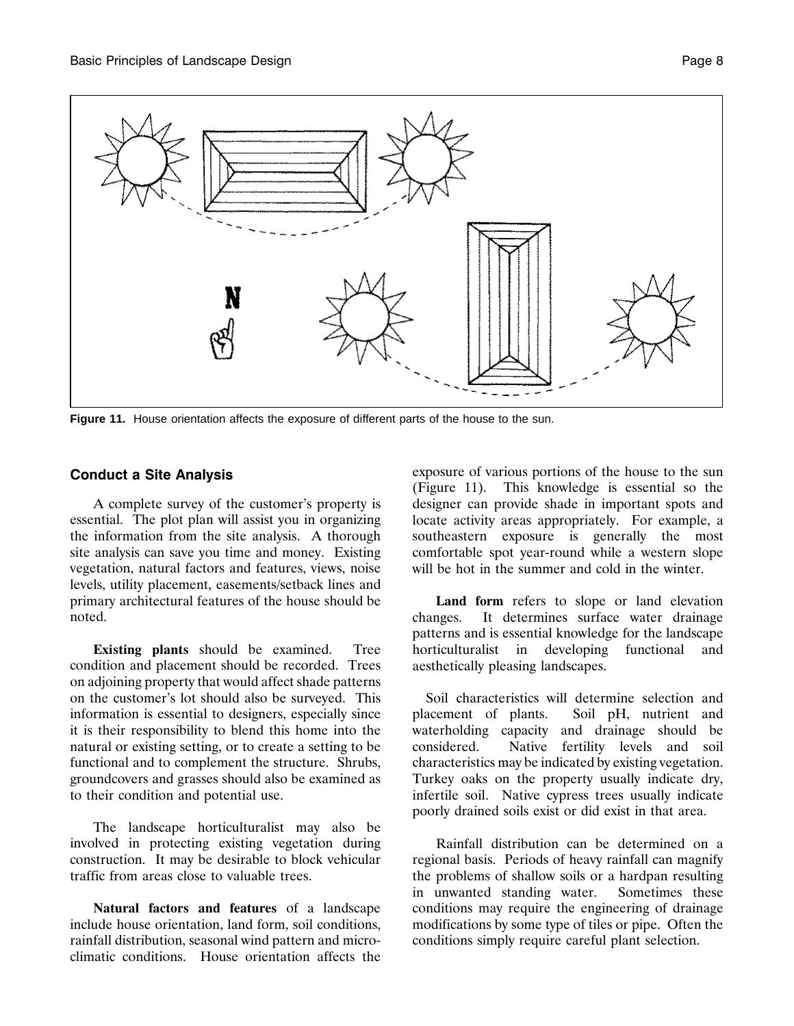

**Figure 11.** House orientation affects the exposure of different parts of the house to the sun.

# **Conduct a Site Analysis**

A complete survey of the customer's property is essential. The plot plan will assist you in organizing the information from the site analysis. A thorough site analysis can save you time and money. Existing vegetation, natural factors and features, views, noise levels, utility placement, easements/setback lines and primary architectural features of the house should be noted.

**Existing plants** should be examined. Tree condition and placement should be recorded. Trees on adjoining property that would affect shade patterns on the customer's lot should also be surveyed. This information is essential to designers, especially since it is their responsibility to blend this home into the natural or existing setting, or to create a setting to be functional and to complement the structure. Shrubs, groundcovers and grasses should also be examined as to their condition and potential use.

The landscape horticulturalist may also be involved in protecting existing vegetation during construction. It may be desirable to block vehicular traffic from areas close to valuable trees.

**Natural factors and features** of a landscape include house orientation, land form, soil conditions, rainfall distribution, seasonal wind pattern and microclimatic conditions. House orientation affects the

exposure of various portions of the house to the sun (Figure 11). This knowledge is essential so the designer can provide shade in important spots and locate activity areas appropriately. For example, a southeastern exposure is generally the most comfortable spot year-round while a western slope will be hot in the summer and cold in the winter.

**Land form** refers to slope or land elevation changes. It determines surface water drainage patterns and is essential knowledge for the landscape horticulturalist in developing functional and aesthetically pleasing landscapes.

Soil characteristics will determine selection and placement of plants. Soil pH, nutrient and waterholding capacity and drainage should be considered. Native fertility levels and soil characteristics may be indicated by existing vegetation. Turkey oaks on the property usually indicate dry, infertile soil. Native cypress trees usually indicate poorly drained soils exist or did exist in that area.

Rainfall distribution can be determined on a regional basis. Periods of heavy rainfall can magnify the problems of shallow soils or a hardpan resulting in unwanted standing water. Sometimes these conditions may require the engineering of drainage modifications by some type of tiles or pipe. Often the conditions simply require careful plant selection.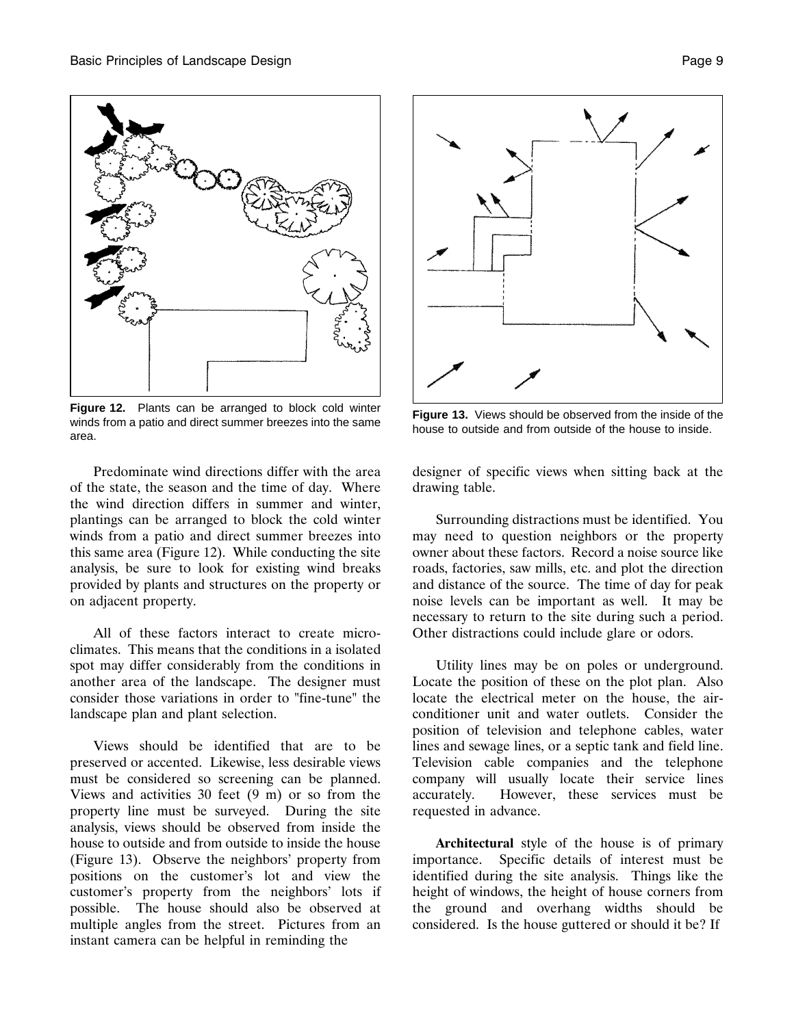

**Figure 12.** Plants can be arranged to block cold winter winds from a patio and direct summer breezes into the same area.

Predominate wind directions differ with the area of the state, the season and the time of day. Where the wind direction differs in summer and winter, plantings can be arranged to block the cold winter winds from a patio and direct summer breezes into this same area (Figure 12). While conducting the site analysis, be sure to look for existing wind breaks provided by plants and structures on the property or on adjacent property.

All of these factors interact to create microclimates. This means that the conditions in a isolated spot may differ considerably from the conditions in another area of the landscape. The designer must consider those variations in order to "fine-tune" the landscape plan and plant selection.

Views should be identified that are to be preserved or accented. Likewise, less desirable views must be considered so screening can be planned. Views and activities 30 feet (9 m) or so from the property line must be surveyed. During the site analysis, views should be observed from inside the house to outside and from outside to inside the house (Figure 13). Observe the neighbors' property from positions on the customer's lot and view the customer's property from the neighbors' lots if possible. The house should also be observed at multiple angles from the street. Pictures from an instant camera can be helpful in reminding the



**Figure 13.** Views should be observed from the inside of the house to outside and from outside of the house to inside.

designer of specific views when sitting back at the drawing table.

Surrounding distractions must be identified. You may need to question neighbors or the property owner about these factors. Record a noise source like roads, factories, saw mills, etc. and plot the direction and distance of the source. The time of day for peak noise levels can be important as well. It may be necessary to return to the site during such a period. Other distractions could include glare or odors.

Utility lines may be on poles or underground. Locate the position of these on the plot plan. Also locate the electrical meter on the house, the airconditioner unit and water outlets. Consider the position of television and telephone cables, water lines and sewage lines, or a septic tank and field line. Television cable companies and the telephone company will usually locate their service lines accurately. However, these services must be requested in advance.

**Architectural** style of the house is of primary importance. Specific details of interest must be identified during the site analysis. Things like the height of windows, the height of house corners from the ground and overhang widths should be considered. Is the house guttered or should it be? If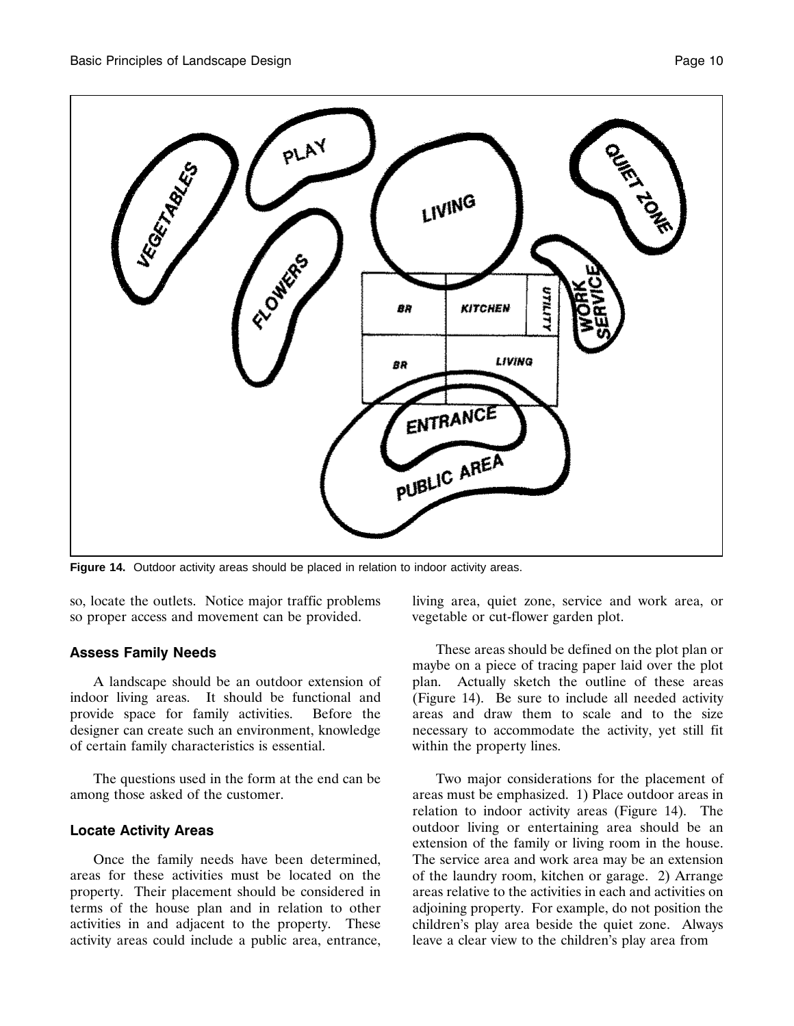

**Figure 14.** Outdoor activity areas should be placed in relation to indoor activity areas.

so, locate the outlets. Notice major traffic problems so proper access and movement can be provided.

# **Assess Family Needs**

A landscape should be an outdoor extension of indoor living areas. It should be functional and provide space for family activities. Before the designer can create such an environment, knowledge of certain family characteristics is essential.

The questions used in the form at the end can be among those asked of the customer.

# **Locate Activity Areas**

Once the family needs have been determined, areas for these activities must be located on the property. Their placement should be considered in terms of the house plan and in relation to other activities in and adjacent to the property. These activity areas could include a public area, entrance, living area, quiet zone, service and work area, or vegetable or cut-flower garden plot.

These areas should be defined on the plot plan or maybe on a piece of tracing paper laid over the plot plan. Actually sketch the outline of these areas (Figure 14). Be sure to include all needed activity areas and draw them to scale and to the size necessary to accommodate the activity, yet still fit within the property lines.

Two major considerations for the placement of areas must be emphasized. 1) Place outdoor areas in relation to indoor activity areas (Figure 14). The outdoor living or entertaining area should be an extension of the family or living room in the house. The service area and work area may be an extension of the laundry room, kitchen or garage. 2) Arrange areas relative to the activities in each and activities on adjoining property. For example, do not position the children's play area beside the quiet zone. Always leave a clear view to the children's play area from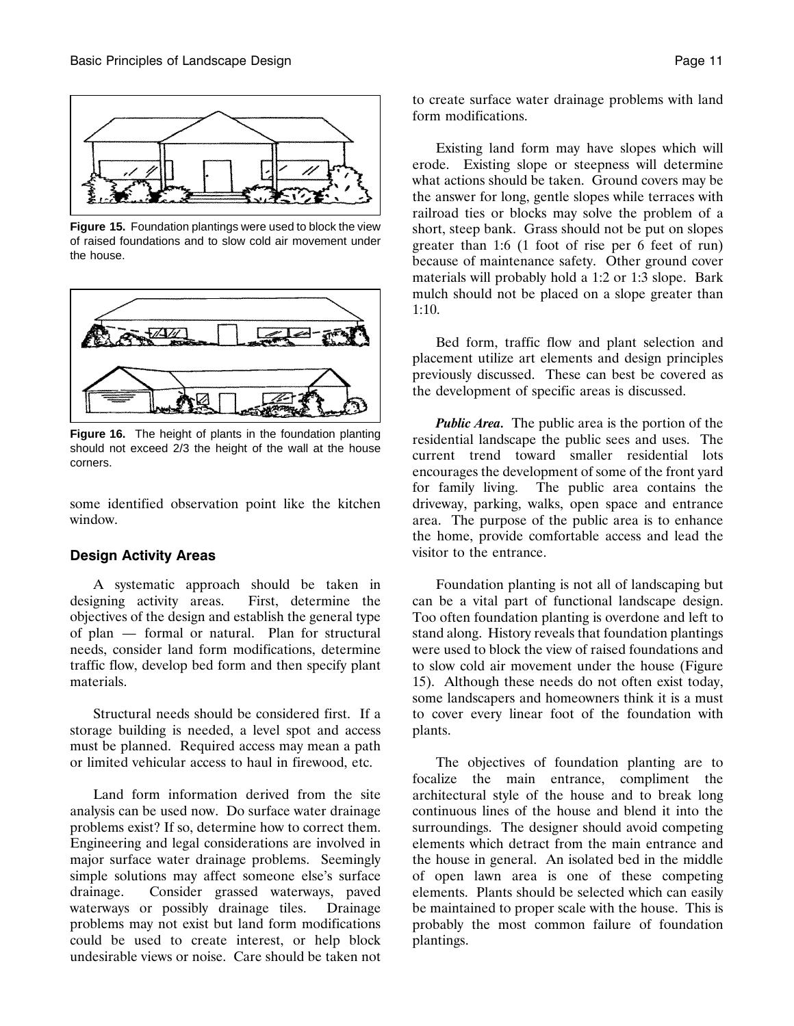

**Figure 15.** Foundation plantings were used to block the view of raised foundations and to slow cold air movement under the house.



**Figure 16.** The height of plants in the foundation planting should not exceed 2/3 the height of the wall at the house corners.

some identified observation point like the kitchen window.

#### **Design Activity Areas**

A systematic approach should be taken in designing activity areas. First, determine the objectives of the design and establish the general type of plan — formal or natural. Plan for structural needs, consider land form modifications, determine traffic flow, develop bed form and then specify plant materials.

Structural needs should be considered first. If a storage building is needed, a level spot and access must be planned. Required access may mean a path or limited vehicular access to haul in firewood, etc.

Land form information derived from the site analysis can be used now. Do surface water drainage problems exist? If so, determine how to correct them. Engineering and legal considerations are involved in major surface water drainage problems. Seemingly simple solutions may affect someone else's surface drainage. Consider grassed waterways, paved waterways or possibly drainage tiles. Drainage problems may not exist but land form modifications could be used to create interest, or help block undesirable views or noise. Care should be taken not to create surface water drainage problems with land form modifications.

Existing land form may have slopes which will erode. Existing slope or steepness will determine what actions should be taken. Ground covers may be the answer for long, gentle slopes while terraces with railroad ties or blocks may solve the problem of a short, steep bank. Grass should not be put on slopes greater than 1:6 (1 foot of rise per 6 feet of run) because of maintenance safety. Other ground cover materials will probably hold a 1:2 or 1:3 slope. Bark mulch should not be placed on a slope greater than 1:10.

Bed form, traffic flow and plant selection and placement utilize art elements and design principles previously discussed. These can best be covered as the development of specific areas is discussed.

*Public Area.* The public area is the portion of the residential landscape the public sees and uses. The current trend toward smaller residential lots encourages the development of some of the front yard for family living. The public area contains the driveway, parking, walks, open space and entrance area. The purpose of the public area is to enhance the home, provide comfortable access and lead the visitor to the entrance.

Foundation planting is not all of landscaping but can be a vital part of functional landscape design. Too often foundation planting is overdone and left to stand along. History reveals that foundation plantings were used to block the view of raised foundations and to slow cold air movement under the house (Figure 15). Although these needs do not often exist today, some landscapers and homeowners think it is a must to cover every linear foot of the foundation with plants.

The objectives of foundation planting are to focalize the main entrance, compliment the architectural style of the house and to break long continuous lines of the house and blend it into the surroundings. The designer should avoid competing elements which detract from the main entrance and the house in general. An isolated bed in the middle of open lawn area is one of these competing elements. Plants should be selected which can easily be maintained to proper scale with the house. This is probably the most common failure of foundation plantings.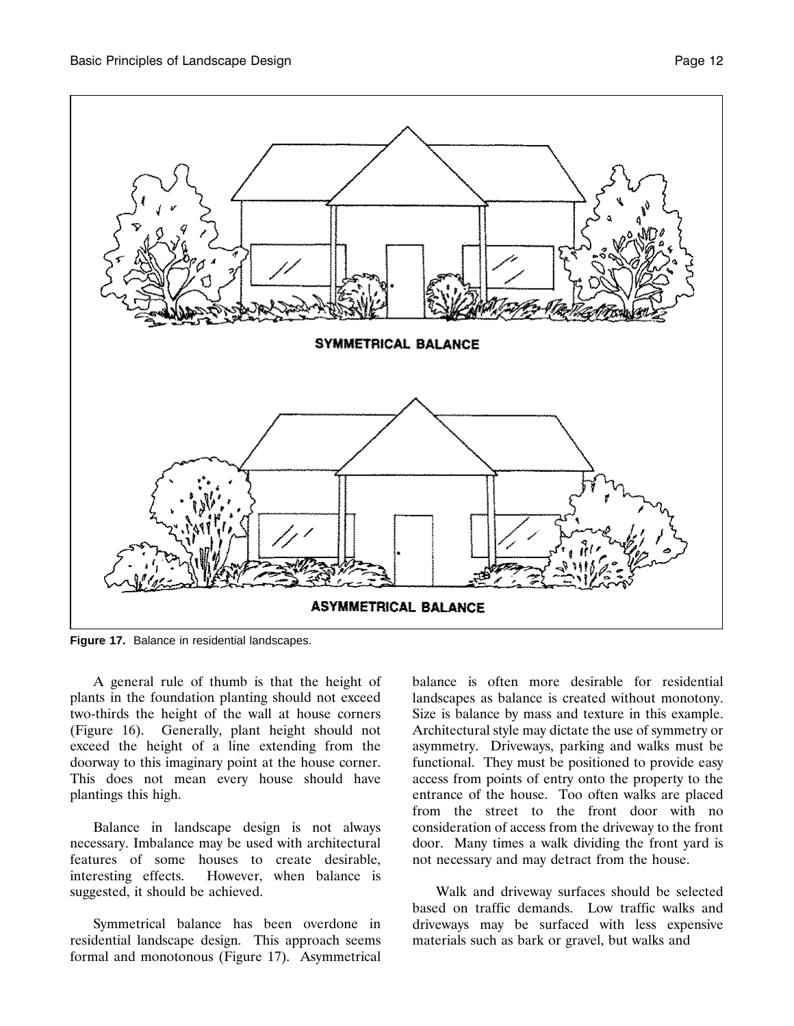

**Figure 17.** Balance in residential landscapes.

A general rule of thumb is that the height of plants in the foundation planting should not exceed two-thirds the height of the wall at house corners (Figure 16). Generally, plant height should not exceed the height of a line extending from the doorway to this imaginary point at the house corner. This does not mean every house should have plantings this high.

Balance in landscape design is not always necessary. Imbalance may be used with architectural features of some houses to create desirable, interesting effects. However, when balance is suggested, it should be achieved.

Symmetrical balance has been overdone in residential landscape design. This approach seems formal and monotonous (Figure 17). Asymmetrical balance is often more desirable for residential landscapes as balance is created without monotony. Size is balance by mass and texture in this example. Architectural style may dictate the use of symmetry or asymmetry. Driveways, parking and walks must be functional. They must be positioned to provide easy access from points of entry onto the property to the entrance of the house. Too often walks are placed from the street to the front door with no consideration of access from the driveway to the front door. Many times a walk dividing the front yard is not necessary and may detract from the house.

Walk and driveway surfaces should be selected based on traffic demands. Low traffic walks and driveways may be surfaced with less expensive materials such as bark or gravel, but walks and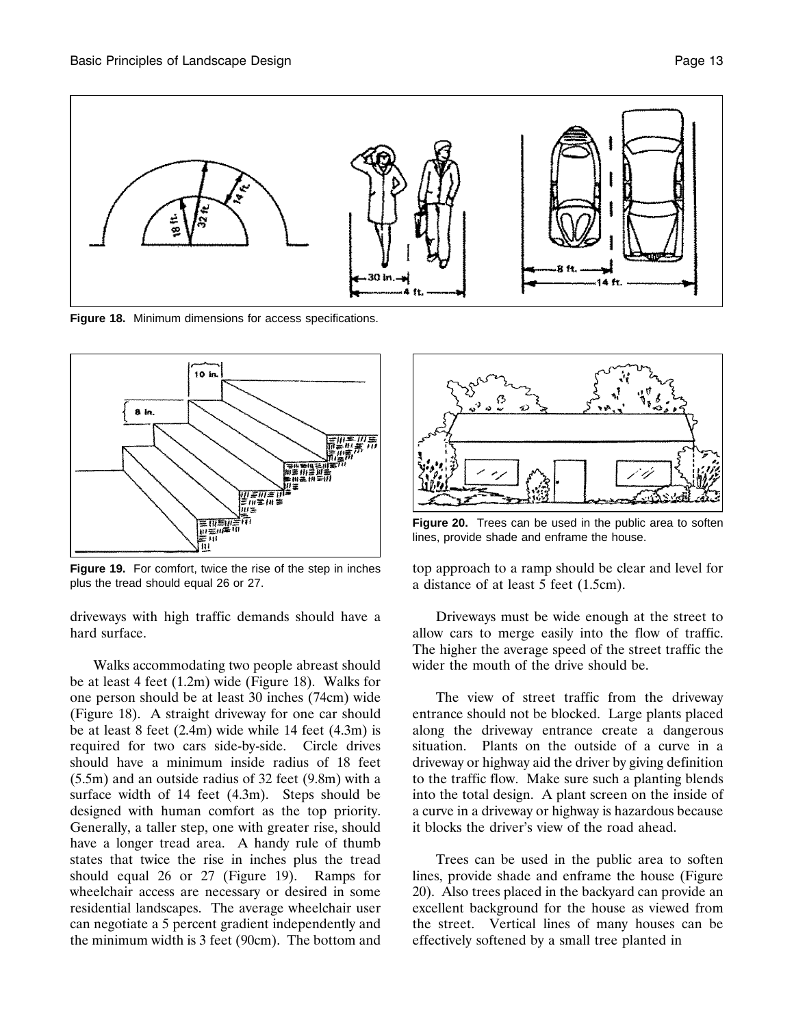



**Figure 18.** Minimum dimensions for access specifications.



**Figure 19.** For comfort, twice the rise of the step in inches plus the tread should equal 26 or 27.

driveways with high traffic demands should have a hard surface.

Walks accommodating two people abreast should be at least 4 feet (1.2m) wide (Figure 18). Walks for one person should be at least 30 inches (74cm) wide (Figure 18). A straight driveway for one car should be at least 8 feet (2.4m) wide while 14 feet (4.3m) is required for two cars side-by-side. Circle drives should have a minimum inside radius of 18 feet (5.5m) and an outside radius of 32 feet (9.8m) with a surface width of 14 feet (4.3m). Steps should be designed with human comfort as the top priority. Generally, a taller step, one with greater rise, should have a longer tread area. A handy rule of thumb states that twice the rise in inches plus the tread should equal 26 or 27 (Figure 19). Ramps for wheelchair access are necessary or desired in some residential landscapes. The average wheelchair user can negotiate a 5 percent gradient independently and the minimum width is 3 feet (90cm). The bottom and



**Figure 20.** Trees can be used in the public area to soften lines, provide shade and enframe the house.

top approach to a ramp should be clear and level for a distance of at least 5 feet (1.5cm).

Driveways must be wide enough at the street to allow cars to merge easily into the flow of traffic. The higher the average speed of the street traffic the wider the mouth of the drive should be.

The view of street traffic from the driveway entrance should not be blocked. Large plants placed along the driveway entrance create a dangerous situation. Plants on the outside of a curve in a driveway or highway aid the driver by giving definition to the traffic flow. Make sure such a planting blends into the total design. A plant screen on the inside of a curve in a driveway or highway is hazardous because it blocks the driver's view of the road ahead.

Trees can be used in the public area to soften lines, provide shade and enframe the house (Figure 20). Also trees placed in the backyard can provide an excellent background for the house as viewed from the street. Vertical lines of many houses can be effectively softened by a small tree planted in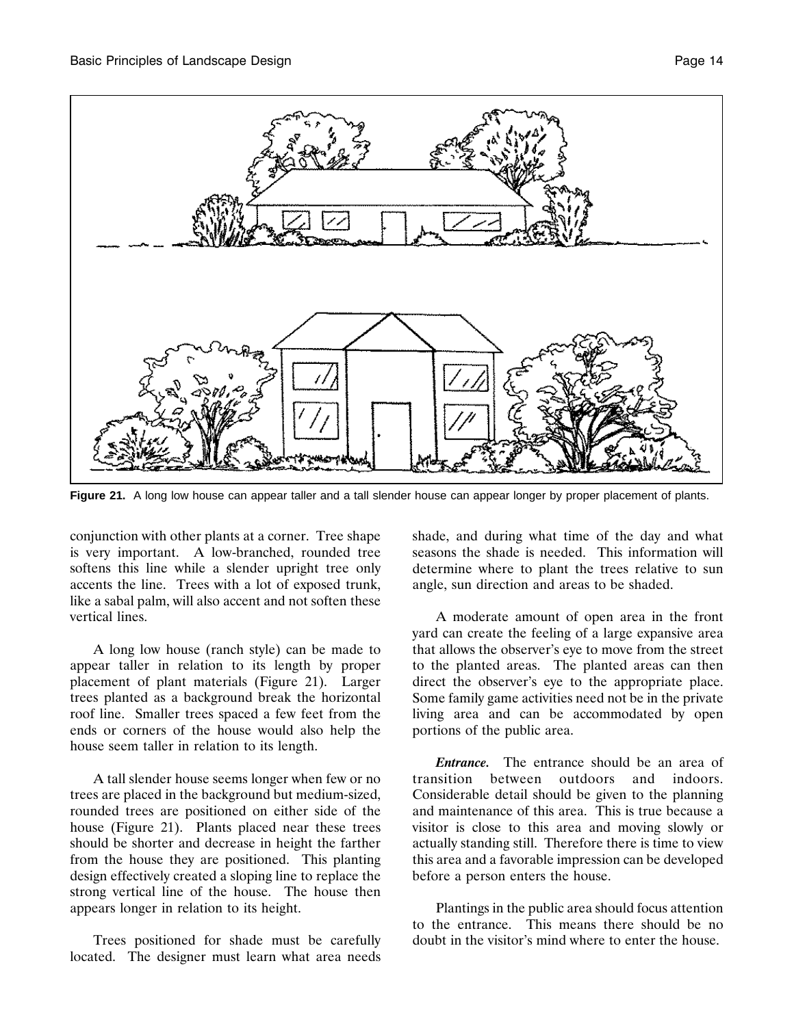

**Figure 21.** A long low house can appear taller and a tall slender house can appear longer by proper placement of plants.

conjunction with other plants at a corner. Tree shape is very important. A low-branched, rounded tree softens this line while a slender upright tree only accents the line. Trees with a lot of exposed trunk, like a sabal palm, will also accent and not soften these vertical lines.

A long low house (ranch style) can be made to appear taller in relation to its length by proper placement of plant materials (Figure 21). Larger trees planted as a background break the horizontal roof line. Smaller trees spaced a few feet from the ends or corners of the house would also help the house seem taller in relation to its length.

A tall slender house seems longer when few or no trees are placed in the background but medium-sized, rounded trees are positioned on either side of the house (Figure 21). Plants placed near these trees should be shorter and decrease in height the farther from the house they are positioned. This planting design effectively created a sloping line to replace the strong vertical line of the house. The house then appears longer in relation to its height.

Trees positioned for shade must be carefully located. The designer must learn what area needs

shade, and during what time of the day and what seasons the shade is needed. This information will determine where to plant the trees relative to sun angle, sun direction and areas to be shaded.

A moderate amount of open area in the front yard can create the feeling of a large expansive area that allows the observer's eye to move from the street to the planted areas. The planted areas can then direct the observer's eye to the appropriate place. Some family game activities need not be in the private living area and can be accommodated by open portions of the public area.

*Entrance.* The entrance should be an area of transition between outdoors and indoors. Considerable detail should be given to the planning and maintenance of this area. This is true because a visitor is close to this area and moving slowly or actually standing still. Therefore there is time to view this area and a favorable impression can be developed before a person enters the house.

Plantings in the public area should focus attention to the entrance. This means there should be no doubt in the visitor's mind where to enter the house.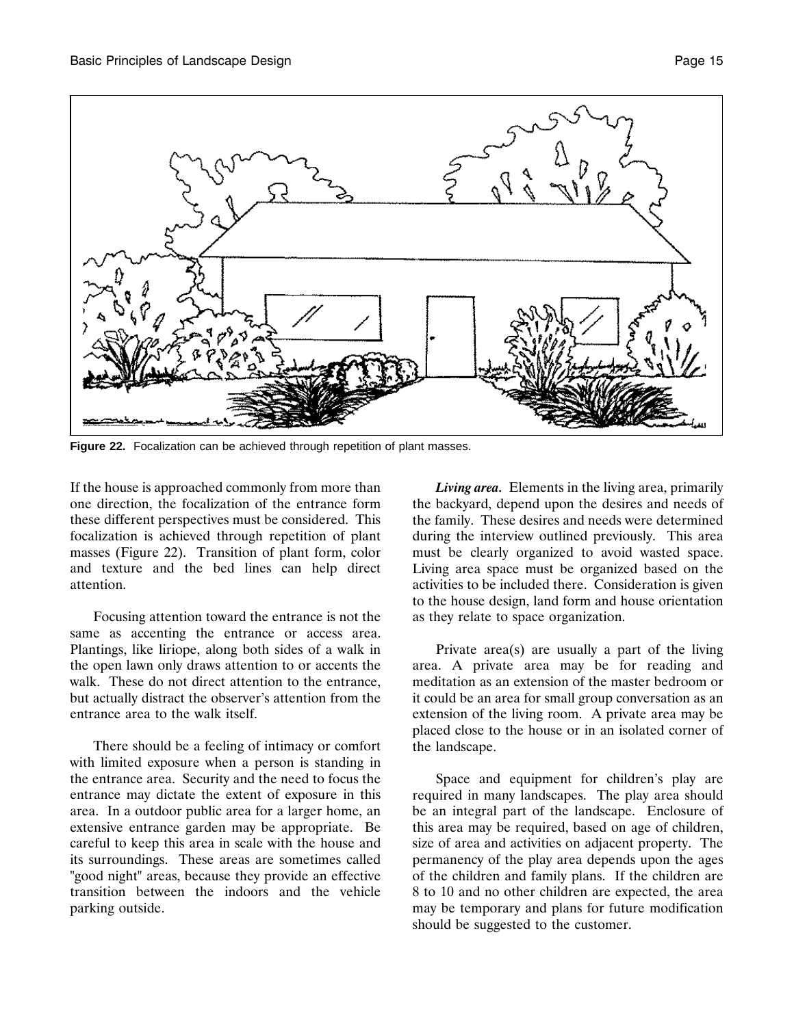

**Figure 22.** Focalization can be achieved through repetition of plant masses.

If the house is approached commonly from more than one direction, the focalization of the entrance form these different perspectives must be considered. This focalization is achieved through repetition of plant masses (Figure 22). Transition of plant form, color and texture and the bed lines can help direct attention.

Focusing attention toward the entrance is not the same as accenting the entrance or access area. Plantings, like liriope, along both sides of a walk in the open lawn only draws attention to or accents the walk. These do not direct attention to the entrance, but actually distract the observer's attention from the entrance area to the walk itself.

There should be a feeling of intimacy or comfort with limited exposure when a person is standing in the entrance area. Security and the need to focus the entrance may dictate the extent of exposure in this area. In a outdoor public area for a larger home, an extensive entrance garden may be appropriate. Be careful to keep this area in scale with the house and its surroundings. These areas are sometimes called "good night" areas, because they provide an effective transition between the indoors and the vehicle parking outside.

*Living area.* Elements in the living area, primarily the backyard, depend upon the desires and needs of the family. These desires and needs were determined during the interview outlined previously. This area must be clearly organized to avoid wasted space. Living area space must be organized based on the activities to be included there. Consideration is given to the house design, land form and house orientation as they relate to space organization.

Private area(s) are usually a part of the living area. A private area may be for reading and meditation as an extension of the master bedroom or it could be an area for small group conversation as an extension of the living room. A private area may be placed close to the house or in an isolated corner of the landscape.

Space and equipment for children's play are required in many landscapes. The play area should be an integral part of the landscape. Enclosure of this area may be required, based on age of children, size of area and activities on adjacent property. The permanency of the play area depends upon the ages of the children and family plans. If the children are 8 to 10 and no other children are expected, the area may be temporary and plans for future modification should be suggested to the customer.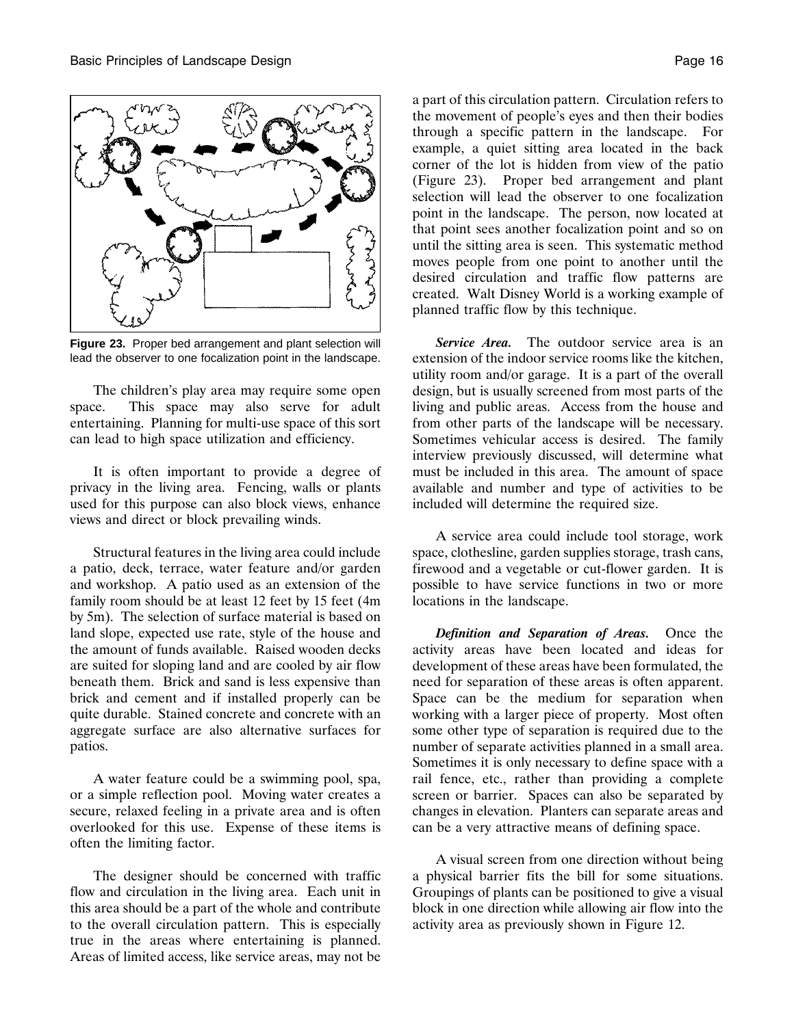

**Figure 23.** Proper bed arrangement and plant selection will lead the observer to one focalization point in the landscape.

The children's play area may require some open space. This space may also serve for adult entertaining. Planning for multi-use space of this sort can lead to high space utilization and efficiency.

It is often important to provide a degree of privacy in the living area. Fencing, walls or plants used for this purpose can also block views, enhance views and direct or block prevailing winds.

Structural features in the living area could include a patio, deck, terrace, water feature and/or garden and workshop. A patio used as an extension of the family room should be at least 12 feet by 15 feet (4m by 5m). The selection of surface material is based on land slope, expected use rate, style of the house and the amount of funds available. Raised wooden decks are suited for sloping land and are cooled by air flow beneath them. Brick and sand is less expensive than brick and cement and if installed properly can be quite durable. Stained concrete and concrete with an aggregate surface are also alternative surfaces for patios.

A water feature could be a swimming pool, spa, or a simple reflection pool. Moving water creates a secure, relaxed feeling in a private area and is often overlooked for this use. Expense of these items is often the limiting factor.

The designer should be concerned with traffic flow and circulation in the living area. Each unit in this area should be a part of the whole and contribute to the overall circulation pattern. This is especially true in the areas where entertaining is planned. Areas of limited access, like service areas, may not be

a part of this circulation pattern. Circulation refers to the movement of people's eyes and then their bodies through a specific pattern in the landscape. For example, a quiet sitting area located in the back corner of the lot is hidden from view of the patio (Figure 23). Proper bed arrangement and plant selection will lead the observer to one focalization point in the landscape. The person, now located at that point sees another focalization point and so on until the sitting area is seen. This systematic method moves people from one point to another until the desired circulation and traffic flow patterns are created. Walt Disney World is a working example of planned traffic flow by this technique.

*Service Area.* The outdoor service area is an extension of the indoor service rooms like the kitchen, utility room and/or garage. It is a part of the overall design, but is usually screened from most parts of the living and public areas. Access from the house and from other parts of the landscape will be necessary. Sometimes vehicular access is desired. The family interview previously discussed, will determine what must be included in this area. The amount of space available and number and type of activities to be included will determine the required size.

A service area could include tool storage, work space, clothesline, garden supplies storage, trash cans, firewood and a vegetable or cut-flower garden. It is possible to have service functions in two or more locations in the landscape.

*Definition and Separation of Areas.* Once the activity areas have been located and ideas for development of these areas have been formulated, the need for separation of these areas is often apparent. Space can be the medium for separation when working with a larger piece of property. Most often some other type of separation is required due to the number of separate activities planned in a small area. Sometimes it is only necessary to define space with a rail fence, etc., rather than providing a complete screen or barrier. Spaces can also be separated by changes in elevation. Planters can separate areas and can be a very attractive means of defining space.

A visual screen from one direction without being a physical barrier fits the bill for some situations. Groupings of plants can be positioned to give a visual block in one direction while allowing air flow into the activity area as previously shown in Figure 12.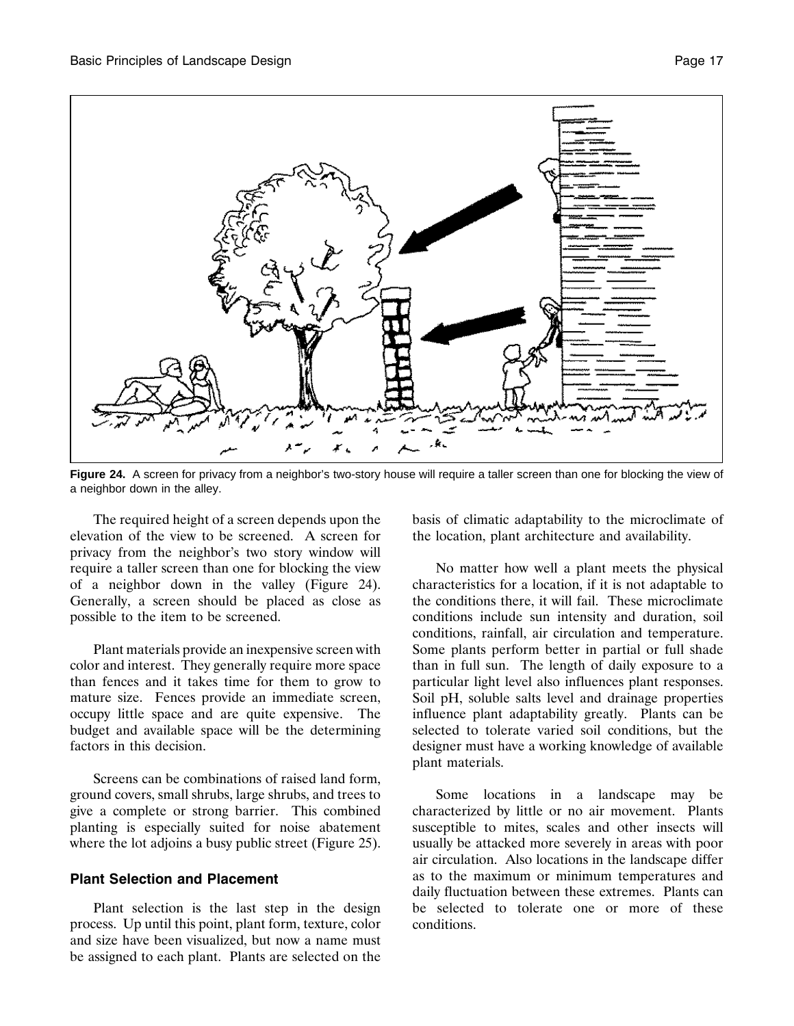

**Figure 24.** A screen for privacy from a neighbor's two-story house will require a taller screen than one for blocking the view of a neighbor down in the alley.

The required height of a screen depends upon the elevation of the view to be screened. A screen for privacy from the neighbor's two story window will require a taller screen than one for blocking the view of a neighbor down in the valley (Figure 24). Generally, a screen should be placed as close as possible to the item to be screened.

Plant materials provide an inexpensive screen with color and interest. They generally require more space than fences and it takes time for them to grow to mature size. Fences provide an immediate screen, occupy little space and are quite expensive. The budget and available space will be the determining factors in this decision.

Screens can be combinations of raised land form, ground covers, small shrubs, large shrubs, and trees to give a complete or strong barrier. This combined planting is especially suited for noise abatement where the lot adjoins a busy public street (Figure 25).

#### **Plant Selection and Placement**

Plant selection is the last step in the design process. Up until this point, plant form, texture, color and size have been visualized, but now a name must be assigned to each plant. Plants are selected on the basis of climatic adaptability to the microclimate of the location, plant architecture and availability.

No matter how well a plant meets the physical characteristics for a location, if it is not adaptable to the conditions there, it will fail. These microclimate conditions include sun intensity and duration, soil conditions, rainfall, air circulation and temperature. Some plants perform better in partial or full shade than in full sun. The length of daily exposure to a particular light level also influences plant responses. Soil pH, soluble salts level and drainage properties influence plant adaptability greatly. Plants can be selected to tolerate varied soil conditions, but the designer must have a working knowledge of available plant materials.

Some locations in a landscape may be characterized by little or no air movement. Plants susceptible to mites, scales and other insects will usually be attacked more severely in areas with poor air circulation. Also locations in the landscape differ as to the maximum or minimum temperatures and daily fluctuation between these extremes. Plants can be selected to tolerate one or more of these conditions.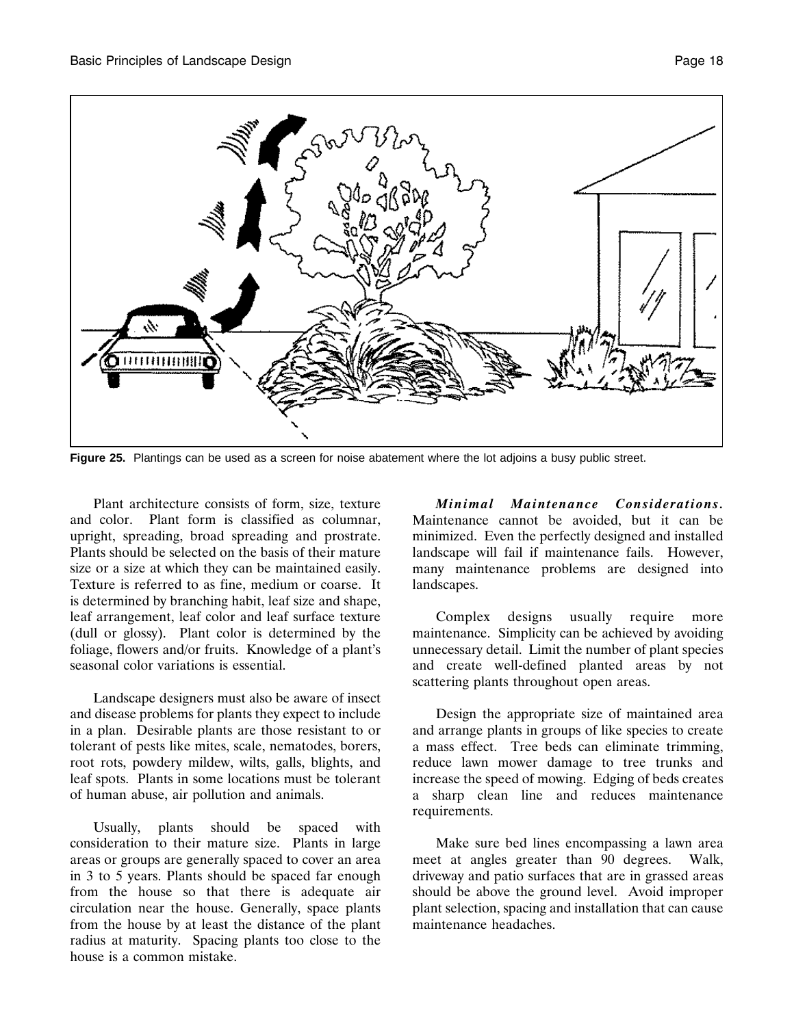

**Figure 25.** Plantings can be used as a screen for noise abatement where the lot adjoins a busy public street.

Plant architecture consists of form, size, texture and color. Plant form is classified as columnar, upright, spreading, broad spreading and prostrate. Plants should be selected on the basis of their mature size or a size at which they can be maintained easily. Texture is referred to as fine, medium or coarse. It is determined by branching habit, leaf size and shape, leaf arrangement, leaf color and leaf surface texture (dull or glossy). Plant color is determined by the foliage, flowers and/or fruits. Knowledge of a plant's seasonal color variations is essential.

Landscape designers must also be aware of insect and disease problems for plants they expect to include in a plan. Desirable plants are those resistant to or tolerant of pests like mites, scale, nematodes, borers, root rots, powdery mildew, wilts, galls, blights, and leaf spots. Plants in some locations must be tolerant of human abuse, air pollution and animals.

Usually, plants should be spaced with consideration to their mature size. Plants in large areas or groups are generally spaced to cover an area in 3 to 5 years. Plants should be spaced far enough from the house so that there is adequate air circulation near the house. Generally, space plants from the house by at least the distance of the plant radius at maturity. Spacing plants too close to the house is a common mistake.

*Minimal Maintenance Considerations.* Maintenance cannot be avoided, but it can be minimized. Even the perfectly designed and installed landscape will fail if maintenance fails. However, many maintenance problems are designed into landscapes.

Complex designs usually require more maintenance. Simplicity can be achieved by avoiding unnecessary detail. Limit the number of plant species and create well-defined planted areas by not scattering plants throughout open areas.

Design the appropriate size of maintained area and arrange plants in groups of like species to create a mass effect. Tree beds can eliminate trimming, reduce lawn mower damage to tree trunks and increase the speed of mowing. Edging of beds creates a sharp clean line and reduces maintenance requirements.

Make sure bed lines encompassing a lawn area meet at angles greater than 90 degrees. Walk, driveway and patio surfaces that are in grassed areas should be above the ground level. Avoid improper plant selection, spacing and installation that can cause maintenance headaches.